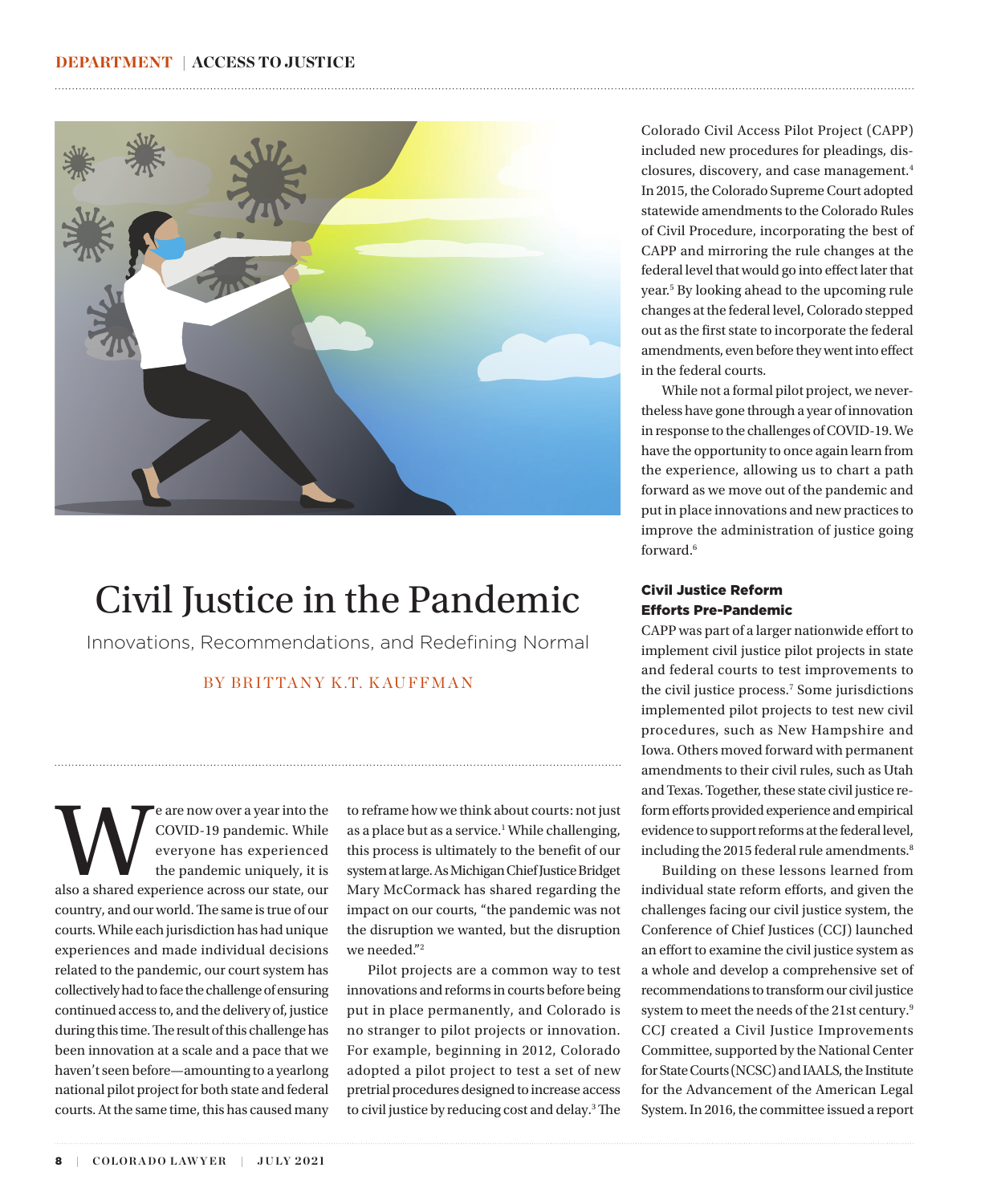<span id="page-0-0"></span>

## Civil Justice in the Pandemic

Innovations, Recommendations, and Redefining Normal

### BY BRITTANY K.T. KAUFFMAN

Express a year into the COVID-19 pandemic. While everyone has experienced the pandemic uniquely, it is also a shared experience across our state, our COVID-19 pandemic. While everyone has experienced the pandemic uniquely, it is country, and our world. The same is true of our courts. While each jurisdiction has had unique experiences and made individual decisions related to the pandemic, our court system has collectively had to face the challenge of ensuring continued access to, and the delivery of, justice during this time. The result of this challenge has been innovation at a scale and a pace that we haven't seen before—amounting to a yearlong national pilot project for both state and federal courts. At the same time, this has caused many

to reframe how we think about courts: not just as a place but as a service.<sup>1</sup> While challenging, this process is ultimately to the benefit of our system at large. As Michigan Chief Justice Bridget Mary McCormack has shared regarding the impact on our courts, "the pandemic was not the disruption we wanted, but the disruption we needed.["2](#page-3-0)

Pilot projects are a common way to test innovations and reforms in courts before being put in place permanently, and Colorado is no stranger to pilot projects or innovation. For example, beginning in 2012, Colorado adopted a pilot project to test a set of new pretrial procedures designed to increase access to civil justice by reducing cost and delay.[3](#page-3-0) The Colorado Civil Access Pilot Project (CAPP) included new procedures for pleadings, disclosures, discovery, and case management[.4](#page-3-0) In 2015, the Colorado Supreme Court adopted statewide amendments to the Colorado Rules of Civil Procedure, incorporating the best of CAPP and mirroring the rule changes at the federal level that would go into effect later that year.[5](#page-4-0) By looking ahead to the upcoming rule changes at the federal level, Colorado stepped out as the first state to incorporate the federal amendments, even before they went into effect in the federal courts.

While not a formal pilot project, we nevertheless have gone through a year of innovation in response to the challenges of COVID-19. We have the opportunity to once again learn from the experience, allowing us to chart a path forward as we move out of the pandemic and put in place innovations and new practices to improve the administration of justice going forward.[6](#page-4-0)

### Civil Justice Reform Efforts Pre-Pandemic

CAPP was part of a larger nationwide effort to implement civil justice pilot projects in state and federal courts to test improvements to the civil justice process[.7](#page-4-0) Some jurisdictions implemented pilot projects to test new civil procedures, such as New Hampshire and Iowa. Others moved forward with permanent amendments to their civil rules, such as Utah and Texas. Together, these state civil justice reform efforts provided experience and empirical evidence to support reforms at the federal level, including the 2015 federal rule amendments.<sup>8</sup>

Building on these lessons learned from individual state reform efforts, and given the challenges facing our civil justice system, the Conference of Chief Justices (CCJ) launched an effort to examine the civil justice system as a whole and develop a comprehensive set of recommendations to transform our civil justice system to meet the needs of the 21st century.<sup>9</sup> CCJ created a Civil Justice Improvements Committee, supported by the National Center for State Courts (NCSC) and IAALS, the Institute for the Advancement of the American Legal System. In 2016, the committee issued a report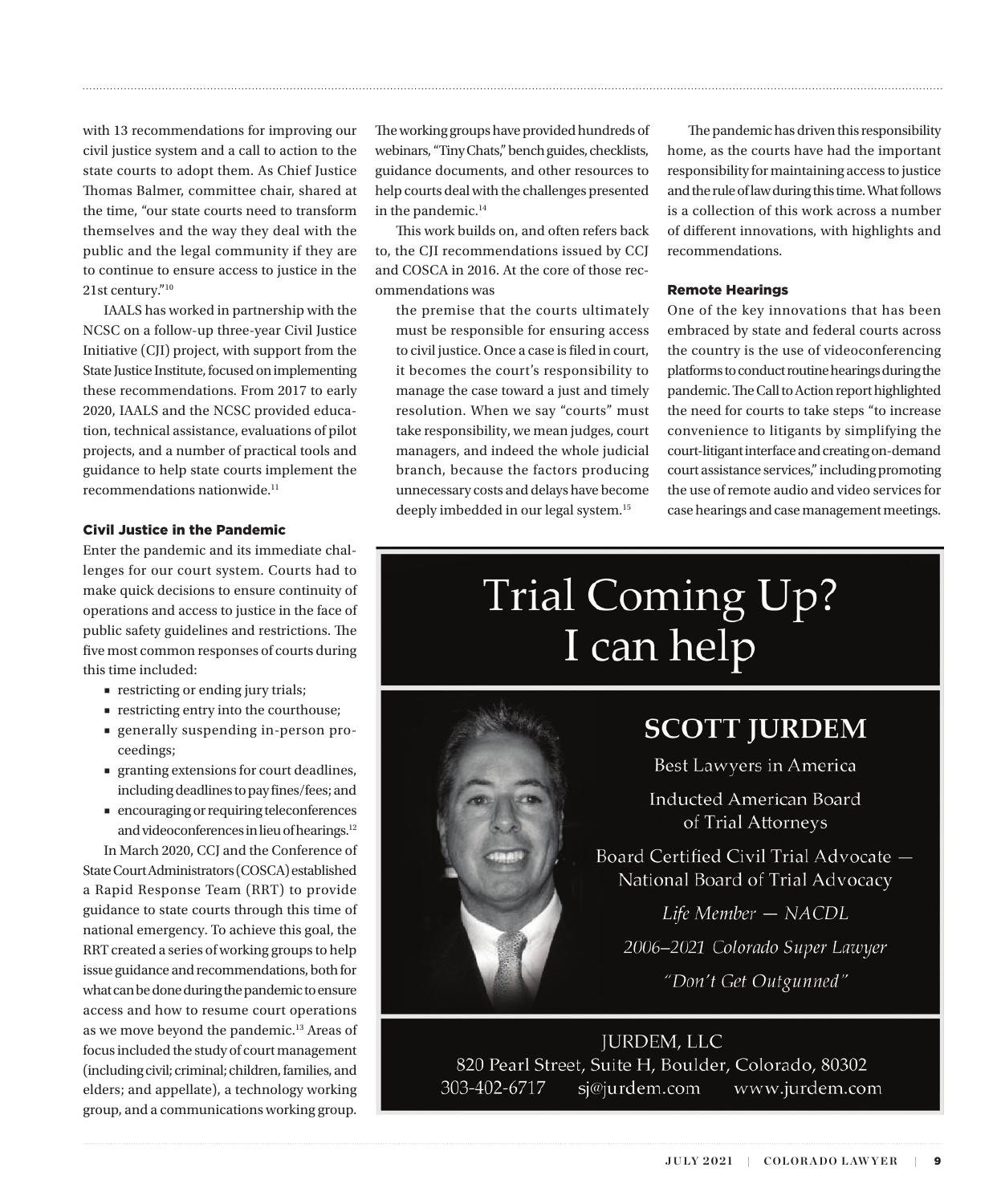<span id="page-1-0"></span>with 13 recommendations for improving our civil justice system and a call to action to the state courts to adopt them. As Chief Justice Thomas Balmer, committee chair, shared at the time, "our state courts need to transform themselves and the way they deal with the public and the legal community if they are to continue to ensure access to justice in the 21st century.["10](#page-4-0)

IAALS has worked in partnership with the NCSC on a follow-up three-year Civil Justice Initiative (CJI) project, with support from the State Justice Institute, focused on implementing these recommendations. From 2017 to early 2020, IAALS and the NCSC provided education, technical assistance, evaluations of pilot projects, and a number of practical tools and guidance to help state courts implement the  $recommendations$  nationwide. $<sup>11</sup>$ </sup>

### Civil Justice in the Pandemic

Enter the pandemic and its immediate challenges for our court system. Courts had to make quick decisions to ensure continuity of operations and access to justice in the face of public safety guidelines and restrictions. The five most common responses of courts during this time included:

- restricting or ending jury trials;
- restricting entry into the courthouse;
- generally suspending in-person proceedings;
- granting extensions for court deadlines, including deadlines to pay fines/fees; and
- encouraging or requiring teleconferences and videoconferences in lieu of hearings[.12](#page-4-0)

In March 2020, CCJ and the Conference of State Court Administrators (COSCA) established a Rapid Response Team (RRT) to provide guidance to state courts through this time of national emergency. To achieve this goal, the RRT created a series of working groups to help issue guidance and recommendations, both for what can be done during the pandemic to ensure access and how to resume court operations as we move beyond the pandemic.<sup>13</sup> Areas of focus included the study of court management (including civil; criminal; children, families, and elders; and appellate), a technology working group, and a communications working group. The working groups have provided hundreds of webinars, "Tiny Chats," bench guides, checklists, guidance documents, and other resources to help courts deal with the challenges presented in the pandemic.<sup>14</sup>

This work builds on, and often refers back to, the CJI recommendations issued by CCJ and COSCA in 2016. At the core of those recommendations was

the premise that the courts ultimately must be responsible for ensuring access to civil justice. Once a case is filed in court, it becomes the court's responsibility to manage the case toward a just and timely resolution. When we say "courts" must take responsibility, we mean judges, court managers, and indeed the whole judicial branch, because the factors producing unnecessary costs and delays have become deeply imbedded in our legal system.[15](#page-4-0)

The pandemic has driven this responsibility home, as the courts have had the important responsibility for maintaining access to justice and the rule of law during this time. What follows is a collection of this work across a number of different innovations, with highlights and recommendations.

### Remote Hearings

One of the key innovations that has been embraced by state and federal courts across the country is the use of videoconferencing platforms to conduct routine hearings during the pandemic. The Call to Action report highlighted the need for courts to take steps "to increase convenience to litigants by simplifying the court-litigant interface and creating on-demand court assistance services," including promoting the use of remote audio and video services for case hearings and case management meetings.

# **Trial Coming Up?** I can help



### **SCOTT JURDEM**

Best Lawyers in America

**Inducted American Board** of Trial Attorneys

Board Certified Civil Trial Advocate -National Board of Trial Advocacy

Life Member - NACDL

2006-2021 Colorado Super Lawyer

"Don't Get Outgunned"

**JURDEM, LLC** 820 Pearl Street, Suite H, Boulder, Colorado, 80302 303-402-6717 sj@jurdem.com www.jurdem.com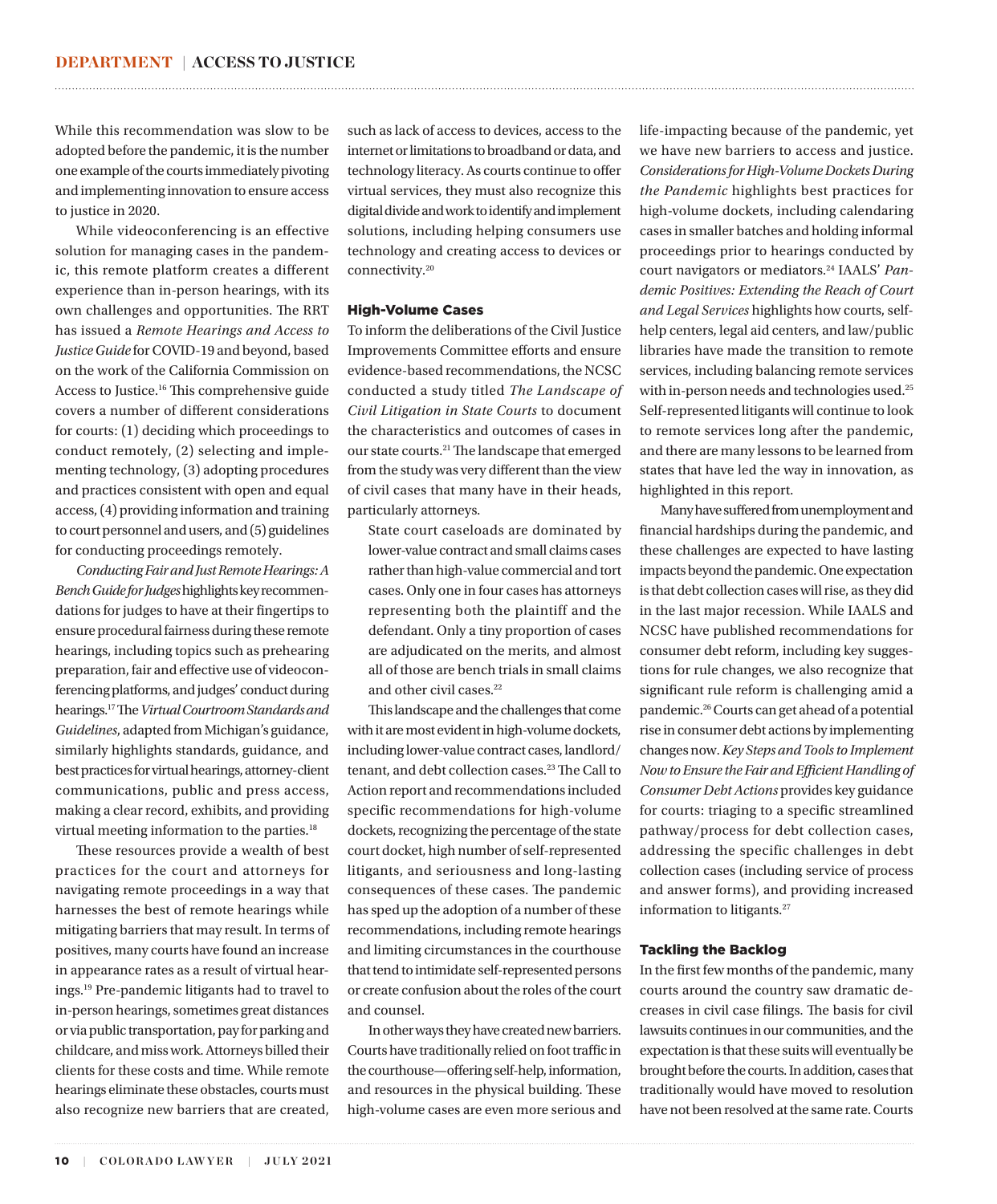While this recommendation was slow to be adopted before the pandemic, it is the number one example of the courts immediately pivoting and implementing innovation to ensure access to justice in 2020.

While videoconferencing is an effective solution for managing cases in the pandemic, this remote platform creates a different experience than in-person hearings, with its own challenges and opportunities. The RRT has issued a *Remote Hearings and Access to Justice Guide* for COVID-19 and beyond, based on the work of the California Commission on Access to Justice.[16](#page-4-0) This comprehensive guide covers a number of different considerations for courts: (1) deciding which proceedings to conduct remotely, (2) selecting and implementing technology, (3) adopting procedures and practices consistent with open and equal access, (4) providing information and training to court personnel and users, and (5) guidelines for conducting proceedings remotely.

*Conducting Fair and Just Remote Hearings: A Bench Guide for Judges* highlights key recommendations for judges to have at their fingertips to ensure procedural fairness during these remote hearings, including topics such as prehearing preparation, fair and effective use of videoconferencing platforms, and judges' conduct during hearings[.17](#page-4-0) The *Virtual Courtroom Standards and Guidelines*, adapted from Michigan's guidance, similarly highlights standards, guidance, and best practices for virtual hearings, attorney-client communications, public and press access, making a clear record, exhibits, and providing virtual meeting information to the parties.[18](#page-4-0)

These resources provide a wealth of best practices for the court and attorneys for navigating remote proceedings in a way that harnesses the best of remote hearings while mitigating barriers that may result. In terms of positives, many courts have found an increase in appearance rates as a result of virtual hearings[.19](#page-4-0) Pre-pandemic litigants had to travel to in-person hearings, sometimes great distances or via public transportation, pay for parking and childcare, and miss work. Attorneys billed their clients for these costs and time. While remote hearings eliminate these obstacles, courts must also recognize new barriers that are created,

such as lack of access to devices, access to the internet or limitations to broadband or data, and technology literacy. As courts continue to offer virtual services, they must also recognize this digital divide and work to identify and implement solutions, including helping consumers use technology and creating access to devices or connectivity.[20](#page-4-0)

<span id="page-2-0"></span>

### High-Volume Cases

To inform the deliberations of the Civil Justice Improvements Committee efforts and ensure evidence-based recommendations, the NCSC conducted a study titled *The Landscape of Civil Litigation in State Courts* to document the characteristics and outcomes of cases in our state courts.[21](#page-4-0) The landscape that emerged from the study was very different than the view of civil cases that many have in their heads, particularly attorneys.

State court caseloads are dominated by lower-value contract and small claims cases rather than high-value commercial and tort cases. Only one in four cases has attorneys representing both the plaintiff and the defendant. Only a tiny proportion of cases are adjudicated on the merits, and almost all of those are bench trials in small claims and other civil cases.<sup>22</sup>

This landscape and the challenges that come with it are most evident in high-volume dockets, including lower-value contract cases, landlord/ tenant, and debt collection cases.<sup>[23](#page-4-0)</sup> The Call to Action report and recommendations included specific recommendations for high-volume dockets, recognizing the percentage of the state court docket, high number of self-represented litigants, and seriousness and long-lasting consequences of these cases. The pandemic has sped up the adoption of a number of these recommendations, including remote hearings and limiting circumstances in the courthouse that tend to intimidate self-represented persons or create confusion about the roles of the court and counsel.

In other ways they have created new barriers. Courts have traditionally relied on foot traffic in the courthouse—offering self-help, information, and resources in the physical building. These high-volume cases are even more serious and life-impacting because of the pandemic, yet we have new barriers to access and justice. *Considerations for High-Volume Dockets During the Pandemic* highlights best practices for high-volume dockets, including calendaring cases in smaller batches and holding informal proceedings prior to hearings conducted by court navigators or mediators[.24](#page-4-0) IAALS' *Pandemic Positives: Extending the Reach of Court and Legal Services* highlights how courts, selfhelp centers, legal aid centers, and law/public libraries have made the transition to remote services, including balancing remote services with in-person needs and technologies used.[25](#page-4-0) Self-represented litigants will continue to look to remote services long after the pandemic, and there are many lessons to be learned from states that have led the way in innovation, as highlighted in this report.

Many have suffered from unemployment and financial hardships during the pandemic, and these challenges are expected to have lasting impacts beyond the pandemic. One expectation is that debt collection cases will rise, as they did in the last major recession. While IAALS and NCSC have published recommendations for consumer debt reform, including key suggestions for rule changes, we also recognize that significant rule reform is challenging amid a pandemic[.26](#page-4-0) Courts can get ahead of a potential rise in consumer debt actions by implementing changes now. *Key Steps and Tools to Implement Now to Ensure the Fair and Efficient Handling of Consumer Debt Actions* provides key guidance for courts: triaging to a specific streamlined pathway/process for debt collection cases, addressing the specific challenges in debt collection cases (including service of process and answer forms), and providing increased information to litigants.<sup>[27](#page-4-0)</sup>

### Tackling the Backlog

In the first few months of the pandemic, many courts around the country saw dramatic decreases in civil case filings. The basis for civil lawsuits continues in our communities, and the expectation is that these suits will eventually be brought before the courts. In addition, cases that traditionally would have moved to resolution have not been resolved at the same rate. Courts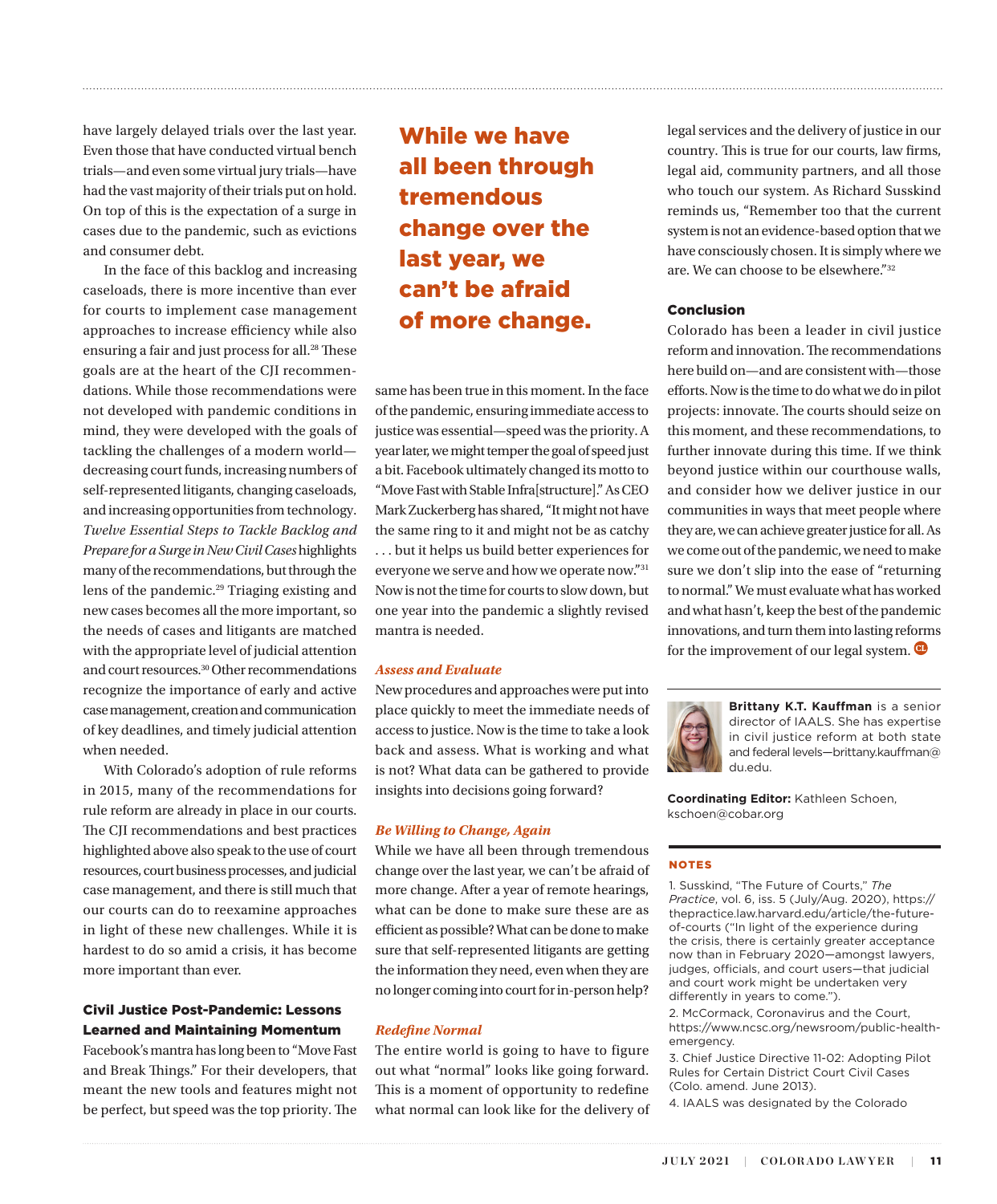have largely delayed trials over the last year. Even those that have conducted virtual bench trials—and even some virtual jury trials—have had the vast majority of their trials put on hold. On top of this is the expectation of a surge in cases due to the pandemic, such as evictions and consumer debt.

In the face of this backlog and increasing caseloads, there is more incentive than ever for courts to implement case management approaches to increase efficiency while also ensuring a fair and just process for all.<sup>[28](#page-4-0)</sup> These goals are at the heart of the CJI recommendations. While those recommendations were not developed with pandemic conditions in mind, they were developed with the goals of tackling the challenges of a modern world decreasing court funds, increasing numbers of self-represented litigants, changing caseloads, and increasing opportunities from technology. *Twelve Essential Steps to Tackle Backlog and Prepare for a Surge in New Civil Cases* highlights many of the recommendations, but through the lens of the pandemic[.29](#page-4-0) Triaging existing and new cases becomes all the more important, so the needs of cases and litigants are matched with the appropriate level of judicial attention and court resources.[30](#page-4-0) Other recommendations recognize the importance of early and active case management, creation and communication of key deadlines, and timely judicial attention when needed.

With Colorado's adoption of rule reforms in 2015, many of the recommendations for rule reform are already in place in our courts. The CJI recommendations and best practices highlighted above also speak to the use of court resources, court business processes, and judicial case management, and there is still much that our courts can do to reexamine approaches in light of these new challenges. While it is hardest to do so amid a crisis, it has become more important than ever.

### Civil Justice Post-Pandemic: Lessons Learned and Maintaining Momentum

Facebook's mantra has long been to "Move Fast and Break Things." For their developers, that meant the new tools and features might not be perfect, but speed was the top priority. The

### While we have all been through tremendous change over the last year, we can't be afraid of more change.

<span id="page-3-0"></span>

same has been true in this moment. In the face of the pandemic, ensuring immediate access to justice was essential—speed was the priority. A year later, we might temper the goal of speed just a bit. Facebook ultimately changed its motto to "Move Fast with Stable Infra[structure]." As CEO Mark Zuckerberg has shared, "It might not have the same ring to it and might not be as catchy . . . but it helps us build better experiences for everyone we serve and how we operate now."[31](#page-4-0) Now is not the time for courts to slow down, but one year into the pandemic a slightly revised mantra is needed.

### *Assess and Evaluate*

New procedures and approaches were put into place quickly to meet the immediate needs of access to justice. Now is the time to take a look back and assess. What is working and what is not? What data can be gathered to provide insights into decisions going forward?

#### *Be Willing to Change, Again*

While we have all been through tremendous change over the last year, we can't be afraid of more change. After a year of remote hearings, what can be done to make sure these are as efficient as possible? What can be done to make sure that self-represented litigants are getting the information they need, even when they are no longer coming into court for in-person help?

### *Redefine Normal*

The entire world is going to have to figure out what "normal" looks like going forward. This is a moment of opportunity to redefine what normal can look like for the delivery of legal services and the delivery of justice in our country. This is true for our courts, law firms, legal aid, community partners, and all those who touch our system. As Richard Susskind reminds us, "Remember too that the current system is not an evidence-based option that we have consciously chosen. It is simply where we are. We can choose to be elsewhere."[32](#page-4-0)

### Conclusion

Colorado has been a leader in civil justice reform and innovation. The recommendations here build on—and are consistent with—those efforts. Now is the time to do what we do in pilot projects: innovate. The courts should seize on this moment, and these recommendations, to further innovate during this time. If we think beyond justice within our courthouse walls, and consider how we deliver justice in our communities in ways that meet people where they are, we can achieve greater justice for all. As we come out of the pandemic, we need to make sure we don't slip into the ease of "returning to normal." We must evaluate what has worked and what hasn't, keep the best of the pandemic innovations, and turn them into lasting reforms for the improvement of our legal system.  $\bullet$ 



**Brittany K.T. Kauffman** is a senior director of IAALS. She has expertise in civil justice reform at both state and federal levels—brittany.kauffman@ du.edu.

**Coordinating Editor:** Kathleen Schoen, kschoen@cobar.org

#### NOTES

[1.](#page-0-0) Susskind, "The Future of Courts," *The Practice*, vol. 6, iss. 5 (July/Aug. 2020), https:// thepractice.law.harvard.edu/article/the-futureof-courts ("In light of the experience during the crisis, there is certainly greater acceptance now than in February 2020—amongst lawyers, judges, officials, and court users—that judicial and court work might be undertaken very differently in years to come.").

[2](#page-0-0). McCormack, Coronavirus and the Court, https://www.ncsc.org/newsroom/public-healthemergency.

[3.](#page-0-0) Chief Justice Directive 11-02: Adopting Pilot Rules for Certain District Court Civil Cases (Colo. amend. June 2013).

[4](#page-0-0). IAALS was designated by the Colorado